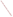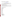# **Consumer Factsheet on: TOXAPHENE**

[List of Contaminants](http://www.epa.gov/safewater/hfacts.html) 

 As part of the Drinking Water and Health pages, this fact sheet is part of a larger publication: **National Primary Drinking Water Regulations** 

 States Environmental Protection Agency (EPA). This is a factsheet about a chemical that may be found in some public or private drinking water supplies. It may cause health problems if found in amounts greater than the health standard setby the United

#### **What is Toxaphene and how is it used?**

Toxaphene is an amber, waxy organic solid with a piney odor. Toxaphene was used as an insecticide for cotton and vegetables, and on livestock and poultry. These uses have been restricted, and toxaphene is now used only for special needs, mainly in southern states.

 The list of trade names given below may help you find out whetheryou are using this chemical at home or work.

#### **Trade Names and Synonyms:**

 Security Motox 63 cotton spray Chlorinated camphene Octachlorocamphene **Camphochlor** Agricide Maggot Killer **Alltex** Crestoxo Compound 3956 Estonox Fasco-Terpene Geniphene Hercules 3956 M5055 Melipax Motox Penphene Phenacide Phenatox Strobane-T Toxadust Toxakil Vertac 90% Toxon 63 Attac Anatox Royal Brand Bean Tox 82 Cotton Tox MP82 Security Tox-Sol-6 Security Tox-MP cotton spray Agro-Chem Brand Torbidan 28 Dr Roger's TOXENE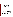#### **Why is Toxaphene being Regulated?**

 based solely on possible health risks and exposure, are called Maximum Contaminant Level Goals. In 1974, Congress passed the Safe Drinking Water Act. This law requires EPA to determine safe levels of chemicals in drinking water which do or may cause health problems. These non-enforceable levels,

The MCLG for toxaphene has been set at zero because EPA believes this level of protection would not cause any of the potential health problems described below.

 Based on this MCLG, EPA has set an enforceable standard called a Maximum Contaminant Level (MCL). MCLs are set as close to the MCLGs as possible, considering the ability of public water systems to detect and remove contaminants using suitable treatment technologies.

 contaminant should it occur in drinking water. The MCL has been set at 3 parts per billion (ppb) because EPA believes, given present technology and resources, this is the lowest level to which water systems can reasonably be required to remove this

These drinking water standards and the regulations for ensuring these standards are met, are called National Primary Drinking Water Regulations. All public water supplies must abide by these regulations.

# **What are the Health Effects?**

Short-term: EPA has found toxaphene to potentially cause the following health effects when people are exposed to it at levels above the MCL for relatively short periods of time: central nervous system effects including restlessness, hyperexcitability, tremors, spasms or convulsions.

 Long-term: Toxaphene has the potential to cause the following effects from a lifetime exposure at levels above the MCL: liver and kidney degeneration; central nervous system effects; possible immune system suppression; cancer.

# **How much Toxaphene is produced and released to the environment?**

 uses, consumption was reported at 12 million pounds. Toxaphene is released into the environment Production of toxaphene in 1977 was nearly 40 million pounds. By 1982, when EPA canceled most of its primarily from its application as an insecticide for the protection of cotton, mostly in southern states.

# **What happens to Toxaphene when it is released to the environment?**

 sediments of water bodies, it may gradually evaporate to the air where it is slowly broken down by Toxaphene is very persistent, remaining in soil for up to 14 years. It is not expected to leach to groundwater. It will not break down by microbial or other means. Though it strongly binds to soils and the sunlight. Toxaphene has a high potential to accumulate in aquatic life.

#### **How will Toxaphene be Detected in and Removed from My Drinking Water?**

 this contaminant. The regulation for toxaphene became effective in 1992. Between 1993 and 1995, EPA required your water supplier to collect water samples every 3 months for one year and analyze them to find out if toxaphene is present above 1 ppb. If it is present above this level, the system must continue to monitor